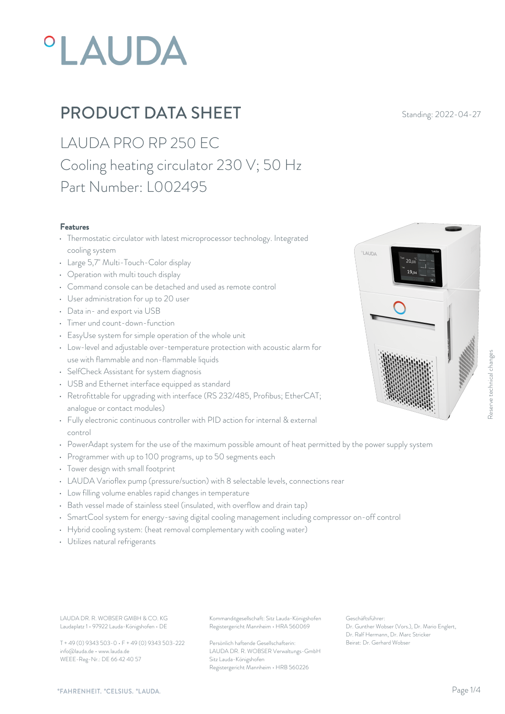# **°LAUDA**

# **PRODUCT DATA SHEET** Standing: 2022-04-27

LAUDA PRO RP 250 EC Cooling heating circulator 230 V; 50 Hz Part Number: L002495

#### Features

- Thermostatic circulator with latest microprocessor technology. Integrated cooling system
- Large 5,7" Multi-Touch-Color display
- Operation with multi touch display
- Command console can be detached and used as remote control
- User administration for up to 20 user
- Data in- and export via USB
- Timer und count-down-function
- EasyUse system for simple operation of the whole unit
- Low-level and adjustable over-temperature protection with acoustic alarm for use with flammable and non-flammable liquids
- SelfCheck Assistant for system diagnosis
- USB and Ethernet interface equipped as standard
- Retrofittable for upgrading with interface (RS 232/485, Profibus; EtherCAT; analogue or contact modules)
- Fully electronic continuous controller with PID action for internal & external control
- PowerAdapt system for the use of the maximum possible amount of heat permitted by the power supply system
- Programmer with up to 100 programs, up to 50 segments each
- Tower design with small footprint
- LAUDA Varioflex pump (pressure/suction) with 8 selectable levels, connections rear
- Low filling volume enables rapid changes in temperature
- Bath vessel made of stainless steel (insulated, with overflow and drain tap)
- SmartCool system for energy-saving digital cooling management including compressor on-off control
- Hybrid cooling system: (heat removal complementary with cooling water)
- Utilizes natural refrigerants

Laudaplatz 1 • 97922 Lauda-Königshofen • DE

T + 49 (0) 9343 503-0 • F + 49 (0) 9343 503-222 info@lauda.de • www.lauda.de WEEE-Reg-Nr.: DE 66 42 40 57

LAUDA DR. R. WOBSER GMBH & CO. KG Kommanditgesellschaft: Sitz Lauda-Königshofen Geschäftsführer: Registergericht Mannheim • HRA 560069

> Persönlich haftende Gesellschafterin: Beirat: Dr. Gerhard Wobse LAUDA DR. R. WOBSER Verwaltungs-GmbH Sitz Lauda-Königshofen Registergericht Mannheim • HRB 560226

Geschäftsführer: Dr. Gunther Wobser (Vors.), Dr. Mario Englert, Dr. Ralf Hermann, Dr. Marc Stricker Beschäftsführer:<br>
Beischäftsführer:<br>
Dr. Gunther Wobser (Vors.), Dr. Mario Englert,<br>
Dr. Gunther Wobser (Vors.), Dr. Mario Englert,<br>
Dr. Gunther Wobser (Vors.), Dr. Mario Englert,<br>
Dr. Raf Hermann, Dr. Mario Englert,<br>
Beir



LAUDA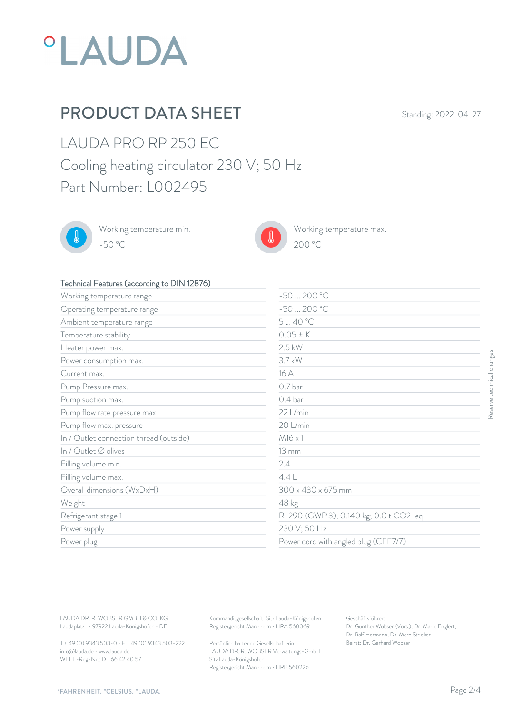

# PRODUCT DATA SHEET Standing: 2022-04-27

 $200\text{ °C}$ 

LAUDA PRO RP 250 EC Cooling heating circulator 230 V; 50 Hz Part Number: L002495



Working temperature min. -50 °C 200 °C



Working temperature max.

#### Technical Features (according to DIN 12876)

| $-50200 °C$<br>Working temperature range<br>$-50200 °C$<br>Operating temperature range<br>540 °C<br>Ambient temperature range<br>$0.05 \pm K$<br>Temperature stability<br>$2.5$ kW<br>Heater power max.<br>3.7 kW<br>Power consumption max.<br>16 A<br>Current max.<br>0.7 bar |
|--------------------------------------------------------------------------------------------------------------------------------------------------------------------------------------------------------------------------------------------------------------------------------|
|                                                                                                                                                                                                                                                                                |
|                                                                                                                                                                                                                                                                                |
|                                                                                                                                                                                                                                                                                |
|                                                                                                                                                                                                                                                                                |
|                                                                                                                                                                                                                                                                                |
|                                                                                                                                                                                                                                                                                |
|                                                                                                                                                                                                                                                                                |
| Pump Pressure max.                                                                                                                                                                                                                                                             |
| 0.4 <sub>bar</sub><br>Pump suction max.                                                                                                                                                                                                                                        |
| 22 L/min<br>Pump flow rate pressure max.                                                                                                                                                                                                                                       |
| 20 L/min<br>Pump flow max. pressure                                                                                                                                                                                                                                            |
| In / Outlet connection thread (outside)<br>$M16 \times 1$                                                                                                                                                                                                                      |
| In / Outlet Ø olives<br>$13 \, \mathrm{mm}$                                                                                                                                                                                                                                    |
| 2.4L<br>Filling volume min.                                                                                                                                                                                                                                                    |
| 4.4L<br>Filling volume max.                                                                                                                                                                                                                                                    |
| Overall dimensions (WxDxH)<br>$300 \times 430 \times 675$ mm                                                                                                                                                                                                                   |
| 48 kg<br>Weight                                                                                                                                                                                                                                                                |
| R-290 (GWP 3); 0.140 kg; 0.0 t CO2-eq<br>Refrigerant stage 1                                                                                                                                                                                                                   |
| 230 V; 50 Hz<br>Power supply                                                                                                                                                                                                                                                   |
| Power cord with angled plug (CEE7/7)<br>Power plug                                                                                                                                                                                                                             |

T + 49 (0) 9343 503-0 • F + 49 (0) 9343 503-222 info@lauda.de • www.lauda.de WEEE-Reg-Nr.: DE 66 42 40 57

> Persönlich haftende Gesellschafterin: Beirat: Dr. Gerhard Wobse LAUDA DR. R. WOBSER Verwaltungs-GmbH Sitz Lauda-Königshofen Registergericht Mannheim • HRB 560226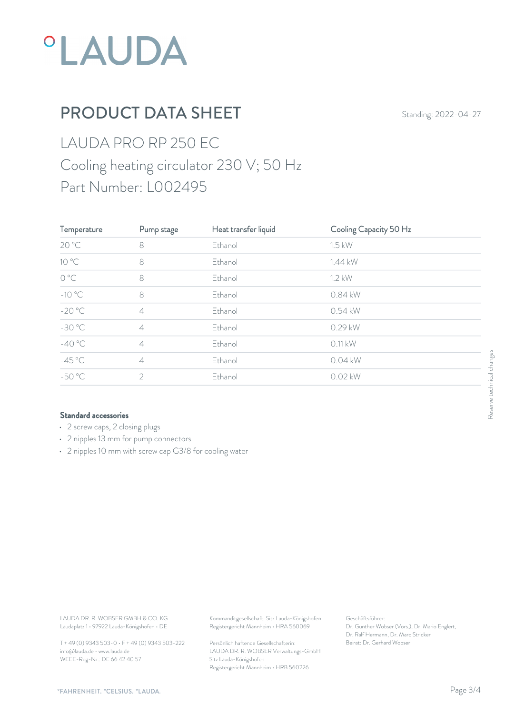

# PRODUCT DATA SHEET Standing: 2022-04-27

# LAUDA PRO RP 250 EC Cooling heating circulator 230 V; 50 Hz Part Number: L002495

| Temperature                                                                      | Pump stage                                      | Heat transfer liquid                                                                   | Cooling Capacity 50 Hz                                                                                    |                           |
|----------------------------------------------------------------------------------|-------------------------------------------------|----------------------------------------------------------------------------------------|-----------------------------------------------------------------------------------------------------------|---------------------------|
| 20 °C                                                                            | $\,8\,$                                         | Ethanol                                                                                | $1.5$ kW                                                                                                  |                           |
| $10^{\circ}$ C                                                                   | $\,8\,$                                         | Ethanol                                                                                | 1.44 kW                                                                                                   |                           |
| $O^{\circ}C$                                                                     | $\,8\,$                                         | Ethanol                                                                                | 1.2 kW                                                                                                    |                           |
| $-10^{\circ}$ C                                                                  | $\,8\,$                                         | Ethanol                                                                                | 0.84 kW                                                                                                   |                           |
| $-20 °C$                                                                         | $\varDelta$                                     | Ethanol                                                                                | 0.54 kW                                                                                                   |                           |
| $-30 °C$                                                                         | $\varDelta$                                     | Ethanol                                                                                | 0.29 kW                                                                                                   |                           |
| $-40 °C$                                                                         | $\varDelta$                                     | Ethanol                                                                                | $0.11$ kW                                                                                                 |                           |
| $-45^{\circ}$ C                                                                  | $\ensuremath{\mathcal{A}}$                      | Ethanol                                                                                | 0.04 kW                                                                                                   | Reserve technical changes |
| $-50 °C$                                                                         | $\sqrt{2}$                                      | Ethanol                                                                                | 0.02 kW                                                                                                   |                           |
|                                                                                  |                                                 |                                                                                        |                                                                                                           |                           |
| LAUDA DR. R. WOBSER GMBH & CO. KG<br>Laudaplatz 1 · 97922 Lauda-Königshofen · DE |                                                 | Kommanditgesellschaft: Sitz Lauda-Königshofen<br>Registergericht Mannheim · HRA 560069 | Geschäftsführer:<br>Dr. Gunther Wobser (Vors.), Dr. Mario Englert,<br>Dr. Ralf Hermann, Dr. Marc Stricker |                           |
|                                                                                  | T + 49 (0) 9343 503-0 · F + 49 (0) 9343 503-222 | Persönlich haftende Gesellschafterin:                                                  | Beirat: Dr. Gerhard Wobser                                                                                |                           |

#### Standard accessories

- 2 screw caps, 2 closing plugs
- 2 nipples 13 mm for pump connectors
- 2 nipples 10 mm with screw cap G3/8 for cooling water

T + 49 (0) 9343 503-0 • F + 49 (0) 9343 503-222 info@lauda.de • www.lauda.de WEEE-Reg-Nr.: DE 66 42 40 57

> Persönlich haftende Gesellschafterin: Beirat: Dr. Gerhard Wobse LAUDA DR. R. WOBSER Verwaltungs-GmbH Sitz Lauda-Königshofen Registergericht Mannheim • HRB 560226